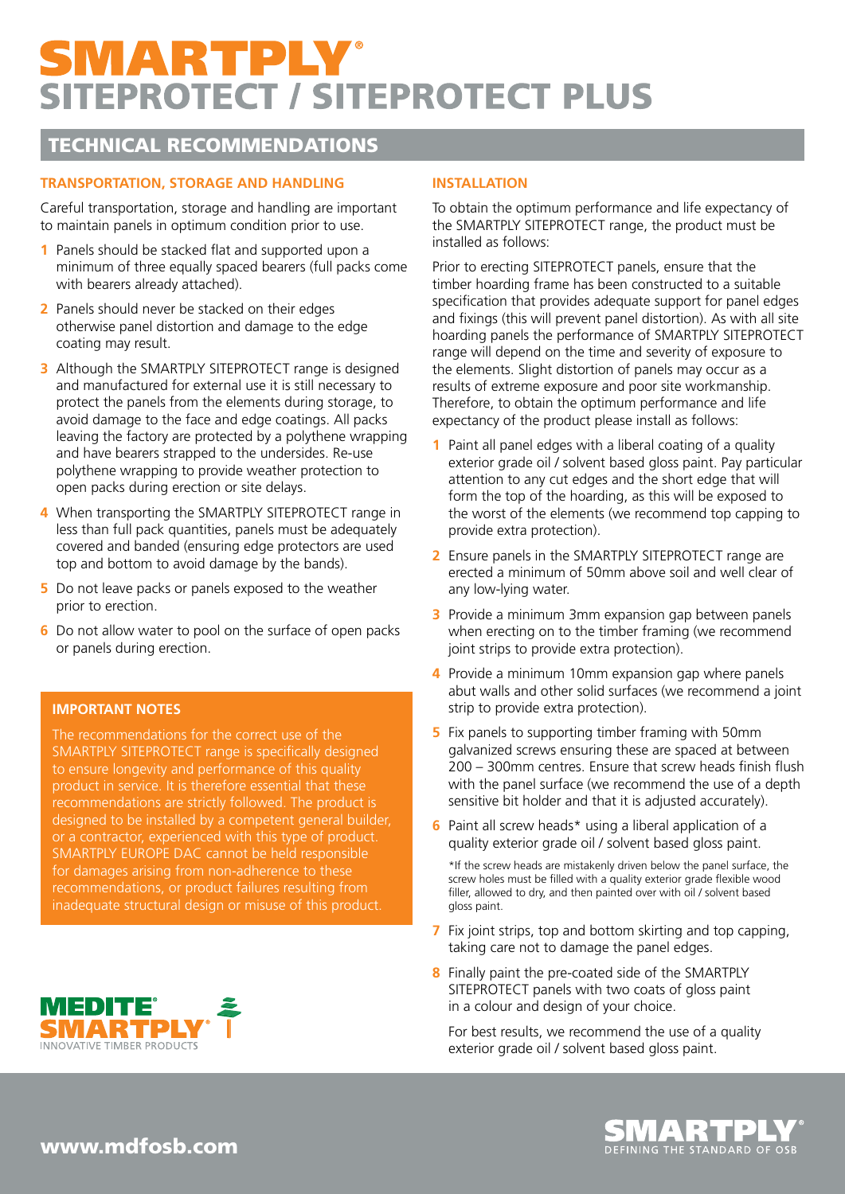# SMARTPLY® **SITEPROTECT / SITEPROTECT PLUS**

### TECHNICAL RECOMMENDATIONS

#### **TRANSPORTATION, STORAGE AND HANDLING**

Careful transportation, storage and handling are important to maintain panels in optimum condition prior to use.

- **1** Panels should be stacked flat and supported upon a minimum of three equally spaced bearers (full packs come with bearers already attached).
- **2** Panels should never be stacked on their edges otherwise panel distortion and damage to the edge coating may result.
- **3** Although the SMARTPLY SITEPROTECT range is designed and manufactured for external use it is still necessary to protect the panels from the elements during storage, to avoid damage to the face and edge coatings. All packs leaving the factory are protected by a polythene wrapping and have bearers strapped to the undersides. Re-use polythene wrapping to provide weather protection to open packs during erection or site delays.
- **4** When transporting the SMARTPLY SITEPROTECT range in less than full pack quantities, panels must be adequately covered and banded (ensuring edge protectors are used top and bottom to avoid damage by the bands).
- **5** Do not leave packs or panels exposed to the weather prior to erection.
- **6** Do not allow water to pool on the surface of open packs or panels during erection.

#### **IMPORTANT NOTES**

The recommendations for the correct use of the SMARTPLY SITEPROTECT range is specifically designed to ensure longevity and performance of this quality product in service. It is therefore essential that these recommendations are strictly followed. The product is designed to be installed by a competent general builder, or a contractor, experienced with this type of product. SMARTPLY EUROPE DAC cannot be held responsible for damages arising from non-adherence to these recommendations, or product failures resulting from inadequate structural design or misuse of this product.



#### **INSTALLATION**

To obtain the optimum performance and life expectancy of the SMARTPLY SITEPROTECT range, the product must be installed as follows:

Prior to erecting SITEPROTECT panels, ensure that the timber hoarding frame has been constructed to a suitable specification that provides adequate support for panel edges and fixings (this will prevent panel distortion). As with all site hoarding panels the performance of SMARTPLY SITEPROTECT range will depend on the time and severity of exposure to the elements. Slight distortion of panels may occur as a results of extreme exposure and poor site workmanship. Therefore, to obtain the optimum performance and life expectancy of the product please install as follows:

- **1** Paint all panel edges with a liberal coating of a quality exterior grade oil / solvent based gloss paint. Pay particular attention to any cut edges and the short edge that will form the top of the hoarding, as this will be exposed to the worst of the elements (we recommend top capping to provide extra protection).
- **2** Ensure panels in the SMARTPLY SITEPROTECT range are erected a minimum of 50mm above soil and well clear of any low-lying water.
- **3** Provide a minimum 3mm expansion gap between panels when erecting on to the timber framing (we recommend joint strips to provide extra protection).
- **4** Provide a minimum 10mm expansion gap where panels abut walls and other solid surfaces (we recommend a joint strip to provide extra protection).
- **5** Fix panels to supporting timber framing with 50mm galvanized screws ensuring these are spaced at between 200 – 300mm centres. Ensure that screw heads finish flush with the panel surface (we recommend the use of a depth sensitive bit holder and that it is adjusted accurately).
- **6** Paint all screw heads\* using a liberal application of a quality exterior grade oil / solvent based gloss paint.

\*If the screw heads are mistakenly driven below the panel surface, the screw holes must be filled with a quality exterior grade flexible wood filler, allowed to dry, and then painted over with oil / solvent based gloss paint.

- **7** Fix joint strips, top and bottom skirting and top capping, taking care not to damage the panel edges.
- **8** Finally paint the pre-coated side of the SMARTPLY SITEPROTECT panels with two coats of gloss paint in a colour and design of your choice.

For best results, we recommend the use of a quality exterior grade oil / solvent based gloss paint.



www.mdfosb.com